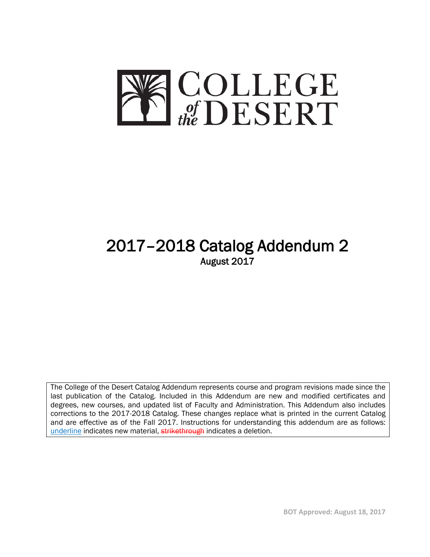

# 2017–2018 Catalog Addendum 2<br>August 2017

The College of the Desert Catalog Addendum represents course and program revisions made since the last publication of the Catalog. Included in this Addendum are new and modified certificates and degrees, new courses, and updated list of Faculty and Administration. This Addendum also includes corrections to the 2017-2018 Catalog. These changes replace what is printed in the current Catalog and are effective as of the Fall 2017. Instructions for understanding this addendum are as follows: underline indicates new material, strikethrough indicates a deletion.

**BOT Approved: August 18, 2017**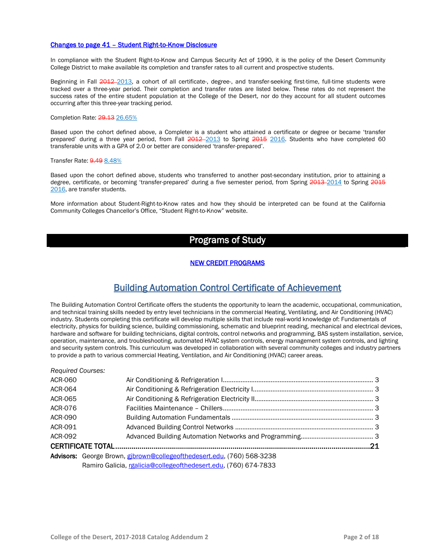### Changes to page 41 – Student Right-to-Know Disclosure

In compliance with the Student Right-to-Know and Campus Security Act of 1990, it is the policy of the Desert Community College District to make available its completion and transfer rates to all current and prospective students.

Beginning in Fall 2012-2013, a cohort of all certificate-, degree-, and transfer-seeking first-time, full-time students were tracked over a three-year period. Their completion and transfer rates are listed below. These rates do not represent the success rates of the entire student population at the College of the Desert, nor do they account for all student outcomes occurring after this three-year tracking period.

### Completion Rate: 29.13 26.65%

Based upon the cohort defined above, a Completer is a student who attained a certificate or degree or became 'transfer prepared' during a three year period, from Fall  $2012 - 2013$  to Spring  $2015$  2016. Students who have completed 60 transferable units with a GPA of 2.0 or better are considered 'transfer-prepared'.

### Transfer Rate: **9.49 8.48%**

Based upon the cohort defined above, students who transferred to another post-secondary institution, prior to attaining a degree, certificate, or becoming 'transfer-prepared' during a five semester period, from Spring 2013-2014 to Spring 2015 2016, are transfer students.

More information about Student-Right-to-Know rates and how they should be interpreted can be found at the California Community Colleges Chancellor's Office, "Student Right-to-Know" website.

### Programs of Study

### NEW CREDIT PROGRAMS

### Building Automation Control Certificate of Achievement

The Building Automation Control Certificate offers the students the opportunity to learn the academic, occupational, communication, and technical training skills needed by entry level technicians in the commercial Heating, Ventilating, and Air Conditioning (HVAC) industry. Students completing this certificate will develop multiple skills that include real-world knowledge of: Fundamentals of electricity, physics for building science, building commissioning, schematic and blueprint reading, mechanical and electrical devices, hardware and software for building technicians, digital controls, control networks and programming, BAS system installation, service, operation, maintenance, and troubleshooting, automated HVAC system controls, energy management system controls, and lighting and security system controls. This curriculum was developed in collaboration with several community colleges and industry partners to provide a path to various commercial Heating, Ventilation, and Air Conditioning (HVAC) career areas.

| <b>Required Courses:</b> |                                                                        |  |
|--------------------------|------------------------------------------------------------------------|--|
| ACR-060                  |                                                                        |  |
| ACR-064                  |                                                                        |  |
| ACR-065                  |                                                                        |  |
| ACR-076                  |                                                                        |  |
| ACR-090                  |                                                                        |  |
| ACR-091                  |                                                                        |  |
| ACR-092                  |                                                                        |  |
|                          |                                                                        |  |
|                          | Advisors: George Brown, gibrown@collegeofthedesert.edu, (760) 568-3238 |  |
|                          | Ramiro Galicia, rgalicia@collegeofthedesert.edu, (760) 674-7833        |  |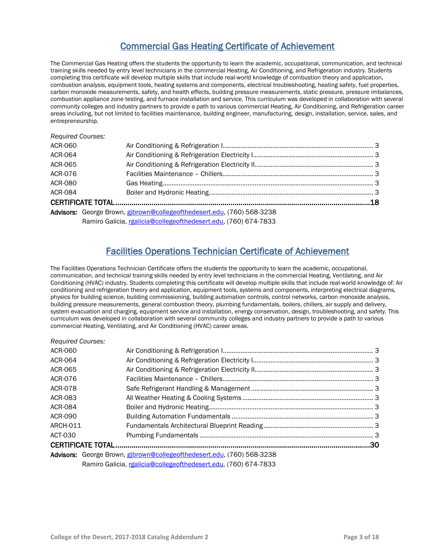# Commercial Gas Heating Certificate of Achievement

The Commercial Gas Heating offers the students the opportunity to learn the academic, occupational, communication, and technical training skills needed by entry level technicians in the commercial Heating, Air Conditioning, and Refrigeration industry. Students completing this certificate will develop multiple skills that include real-world knowledge of combustion theory and application, combustion analysis, equipment tools, heating systems and components, electrical troubleshooting, heating safety, fuel properties, carbon monoxide measurements, safety, and health effects, building pressure measurements, static pressure, pressure imbalances, combustion appliance zone testing, and furnace installation and service. This curriculum was developed in collaboration with several community colleges and industry partners to provide a path to various commercial Heating, Air Conditioning, and Refrigeration career areas including, but not limited to facilities maintenance, building engineer, manufacturing, design, installation, service, sales, and entrepreneurship.

*Required Courses:* 

*Required Courses:* 

| ACR-060        |                                                                        |  |
|----------------|------------------------------------------------------------------------|--|
| <b>ACR-064</b> |                                                                        |  |
| <b>ACR-065</b> |                                                                        |  |
| <b>ACR-076</b> |                                                                        |  |
| ACR-080        |                                                                        |  |
| ACR-084        |                                                                        |  |
|                |                                                                        |  |
|                | Advisors: George Brown, gibrown@collegeofthedesert.edu, (760) 568-3238 |  |
|                | Ramiro Galicia, rgalicia@collegeofthedesert.edu, (760) 674-7833        |  |

# Facilities Operations Technician Certificate of Achievement

The Facilities Operations Technician Certificate offers the students the opportunity to learn the academic, occupational, communication, and technical training skills needed by entry level technicians in the commercial Heating, Ventilating, and Air Conditioning (HVAC) industry. Students completing this certificate will develop multiple skills that include real-world knowledge of: Air conditioning and refrigeration theory and application, equipment tools, systems and components, interpreting electrical diagrams, physics for building science, building commissioning, building automation controls, control networks, carbon monoxide analysis, building pressure measurements, general combustion theory, plumbing fundamentals, boilers, chillers, air supply and delivery, system evacuation and charging, equipment service and installation, energy conservation, design, troubleshooting, and safety. This curriculum was developed in collaboration with several community colleges and industry partners to provide a path to various commercial Heating, Ventilating, and Air Conditioning (HVAC) career areas.

| ncyulicu Cuurscs. |                                                                        |  |
|-------------------|------------------------------------------------------------------------|--|
| ACR-060           |                                                                        |  |
| ACR-064           |                                                                        |  |
| ACR-065           |                                                                        |  |
| ACR-076           |                                                                        |  |
| <b>ACR-078</b>    |                                                                        |  |
| ACR-083           |                                                                        |  |
| <b>ACR-084</b>    |                                                                        |  |
| ACR-090           |                                                                        |  |
| ARCH-011          |                                                                        |  |
| ACT-030           |                                                                        |  |
|                   |                                                                        |  |
|                   | Advisors: George Brown, gibrown@collegeofthedesert.edu, (760) 568-3238 |  |
|                   | Ramiro Galicia, rgalicia@collegeofthedesert.edu, (760) 674-7833        |  |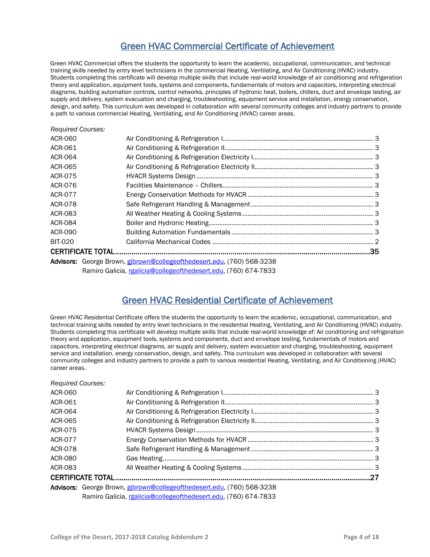# Green HVAC Commercial Certificate of Achievement

Green HVAC Commercial offers the students the opportunity to learn the academic, occupational, communication, and technical training skills needed by entry level technicians in the commercial Heating, Ventilating, and Air Conditioning (HVAC) industry. Students completing this certificate will develop multiple skills that include real-world knowledge of air conditioning and refrigeration theory and application, equipment tools, systems and components, fundamentals of motors and capacitors, interpreting electrical diagrams, building automation controls, control networks, principles of hydronic heat, boilers, chillers, duct and envelope testing, air supply and delivery, system evacuation and charging, troubleshooting, equipment service and installation, energy conservation, design, and safety. This curriculum was developed in collaboration with several community colleges and industry partners to provide a path to various commercial Heating, Ventilating, and Air Conditioning (HVAC) career areas.

### *Required Courses:*

| ACR-060        |                                                                        |  |
|----------------|------------------------------------------------------------------------|--|
| ACR-061        |                                                                        |  |
| ACR-064        |                                                                        |  |
| ACR-065        |                                                                        |  |
| <b>ACR-075</b> |                                                                        |  |
| ACR-076        |                                                                        |  |
| ACR-077        |                                                                        |  |
| ACR-078        |                                                                        |  |
| ACR-083        |                                                                        |  |
| ACR-084        |                                                                        |  |
| ACR-090        |                                                                        |  |
| <b>BIT-020</b> |                                                                        |  |
|                |                                                                        |  |
|                | Advisors: George Brown, gibrown@collegeofthedesert.edu, (760) 568-3238 |  |
|                | Ramiro Galicia, rgalicia@collegeofthedesert.edu, (760) 674-7833        |  |

# Green HVAC Residential Certificate of Achievement

Green HVAC Residential Certificate offers the students the opportunity to learn the academic, occupational, communication, and technical training skills needed by entry level technicians in the residential Heating, Ventilating, and Air Conditioning (HVAC) industry. Students completing this certificate will develop multiple skills that include real-world knowledge of: Air conditioning and refrigeration theory and application, equipment tools, systems and components, duct and envelope testing, fundamentals of motors and capacitors, interpreting electrical diagrams, air supply and delivery, system evacuation and charging, troubleshooting, equipment service and installation, energy conservation, design, and safety. This curriculum was developed in collaboration with several community colleges and industry partners to provide a path to various residential Heating, Ventilating, and Air Conditioning (HVAC) career areas.

### *Required Courses:*

| ACR-060 |                                                                        |  |
|---------|------------------------------------------------------------------------|--|
| ACR-061 |                                                                        |  |
| ACR-064 |                                                                        |  |
| ACR-065 |                                                                        |  |
| ACR-075 |                                                                        |  |
| ACR-077 |                                                                        |  |
| ACR-078 |                                                                        |  |
| ACR-080 |                                                                        |  |
| ACR-083 |                                                                        |  |
|         |                                                                        |  |
|         | Advisors: George Brown, gibrown@collegeofthedesert.edu, (760) 568-3238 |  |
|         | Ramiro Galicia, rgalicia@collegeofthedesert.edu, (760) 674-7833        |  |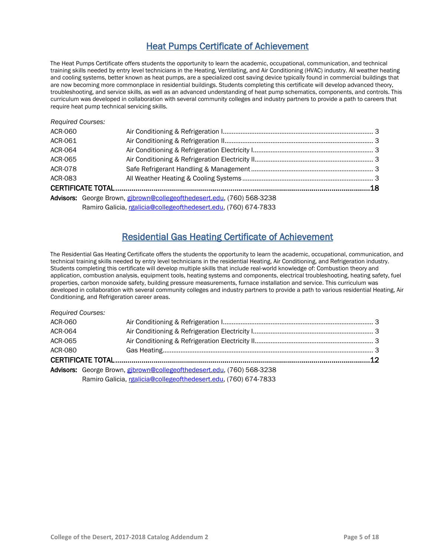# Heat Pumps Certificate of Achievement

The Heat Pumps Certificate offers students the opportunity to learn the academic, occupational, communication, and technical training skills needed by entry level technicians in the Heating, Ventilating, and Air Conditioning (HVAC) industry. All weather heating and cooling systems, better known as heat pumps, are a specialized cost saving device typically found in commercial buildings that are now becoming more commonplace in residential buildings. Students completing this certificate will develop advanced theory, troubleshooting, and service skills, as well as an advanced understanding of heat pump schematics, components, and controls. This curriculum was developed in collaboration with several community colleges and industry partners to provide a path to careers that require heat pump technical servicing skills.

| <b>Required Courses:</b> |                                                                        |  |
|--------------------------|------------------------------------------------------------------------|--|
| ACR-060                  |                                                                        |  |
| ACR-061                  |                                                                        |  |
| <b>ACR-064</b>           |                                                                        |  |
| ACR-065                  |                                                                        |  |
| <b>ACR-078</b>           |                                                                        |  |
| ACR-083                  |                                                                        |  |
|                          |                                                                        |  |
|                          | Advisors: George Brown, gibrown@collegeofthedesert.edu, (760) 568-3238 |  |
|                          | Ramiro Galicia, rgalicia@collegeofthedesert.edu, (760) 674-7833        |  |

# Residential Gas Heating Certificate of Achievement

The Residential Gas Heating Certificate offers the students the opportunity to learn the academic, occupational, communication, and technical training skills needed by entry level technicians in the residential Heating, Air Conditioning, and Refrigeration industry. Students completing this certificate will develop multiple skills that include real-world knowledge of: Combustion theory and application, combustion analysis, equipment tools, heating systems and components, electrical troubleshooting, heating safety, fuel properties, carbon monoxide safety, building pressure measurements, furnace installation and service. This curriculum was developed in collaboration with several community colleges and industry partners to provide a path to various residential Heating, Air Conditioning, and Refrigeration career areas.

| <b>Required Courses:</b> |                                                                        |  |
|--------------------------|------------------------------------------------------------------------|--|
| ACR-060                  |                                                                        |  |
| ACR-064                  |                                                                        |  |
| ACR-065                  |                                                                        |  |
| <b>ACR-080</b>           |                                                                        |  |
|                          |                                                                        |  |
|                          | Advisors: George Brown, gibrown@collegeofthedesert.edu, (760) 568-3238 |  |
|                          | Ramiro Galicia, rgalicia@collegeofthedesert.edu, (760) 674-7833        |  |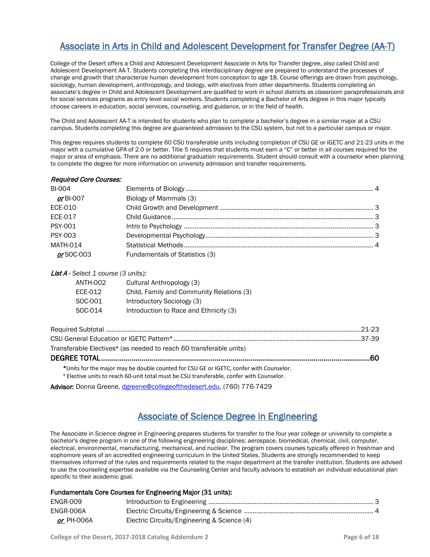# Associate in Arts in Child and Adolescent Development for Transfer Degree (AA-T)

College of the Desert offers a Child and Adolescent Development Associate in Arts for Transfer degree, also called Child and Adolescent Development AA-T. Students completing this interdisciplinary degree are prepared to understand the processes of change and growth that characterize human development from conception to age 18. Course offerings are drawn from psychology, sociology, human development, anthropology, and biology, with electives from other departments. Students completing an associate's degree in Child and Adolescent Development are qualified to work in school districts as classroom paraprofessionals and for social services programs as entry level social workers. Students completing a Bachelor of Arts degree in this major typically choose careers in education, social services, counseling, and guidance, or in the field of health.

The Child and Adolescent AA-T is intended for students who plan to complete a bachelor's degree in a similar major at a CSU campus. Students completing this degree are guaranteed admission to the CSU system, but not to a particular campus or major.

This degree requires students to complete 60 CSU transferable units including completion of CSU GE or IGETC and 21-23 units in the major with a cumulative GPA of 2.0 or better. Title 5 requires that students must earn a "C" or better in all courses required for the major or area of emphasis. There are no additional graduation requirements. Student should consult with a counselor when planning to complete the degree for more information on university admission and transfer requirements.

| Required Core Courses: |                                |  |
|------------------------|--------------------------------|--|
| <b>BI-004</b>          |                                |  |
| $or$ BI-007            | Biology of Mammals (3)         |  |
| ECE-010                |                                |  |
| ECE-017                |                                |  |
| <b>PSY-001</b>         |                                |  |
| <b>PSY-003</b>         |                                |  |
| <b>MATH-014</b>        |                                |  |
| or SOC-003             | Fundamentals of Statistics (3) |  |
|                        |                                |  |

### List A - *Select 1 course (3 units):*

| ANTH-002 | Cultural Anthropology (3)                 |
|----------|-------------------------------------------|
| ECE-012  | Child, Family and Community Relations (3) |
| SOC-001  | Introductory Sociology (3)                |
| SOC-014  | Introduction to Race and Ethnicity (3)    |

| Transferable Electives <sup>+</sup> (as needed to reach 60 transferable units)         |  |
|----------------------------------------------------------------------------------------|--|
|                                                                                        |  |
| *Units for the major may be double counted for CSU GE or IGETC, confer with Counselor. |  |

**<sup>+</sup>** Elective units to reach 60-unit total must be CSU transferable, confer with Counselor.

Advisor: Donna Greene, [dgreene@collegeofthedesert.edu,](mailto:dgreene@collegeofthedesert.edu) (760) 776-7429

### Associate of Science Degree in Engineering

The Associate in Science degree in Engineering prepares students for transfer to the four year college or university to complete a bachelor's degree program in one of the following engineering disciplines: aerospace, biomedical, chemical, civil, computer, electrical, environmental, manufacturing, mechanical, and nuclear. The program covers courses typically offered in freshman and sophomore years of an accredited engineering curriculum in the United States. Students are strongly recommended to keep themselves informed of the rules and requirements related to the major department at the transfer institution. Students are advised to use the counseling expertise available via the Counseling Center and faculty advisors to establish an individual educational plan specific to their academic goal.

### Fundamentals Core Courses for Engineering Major (31 units):

| ENGR-009   |                                             |  |
|------------|---------------------------------------------|--|
| ENGR-006A  |                                             |  |
| or PH-006A | Electric Circuits/Engineering & Science (4) |  |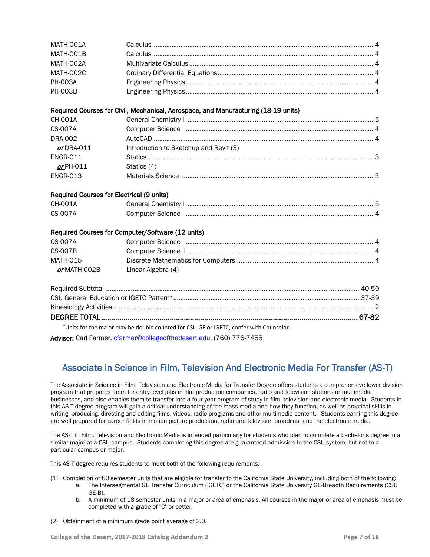| MATH-001A                                 |                                                                                        |
|-------------------------------------------|----------------------------------------------------------------------------------------|
| MATH-001B                                 |                                                                                        |
| MATH-002A                                 |                                                                                        |
| <b>MATH-002C</b>                          |                                                                                        |
| <b>PH-003A</b>                            |                                                                                        |
| <b>PH-003B</b>                            |                                                                                        |
|                                           | Required Courses for Civil, Mechanical, Aerospace, and Manufacturing (18-19 units)     |
| <b>CH-001A</b>                            |                                                                                        |
| <b>CS-007A</b>                            |                                                                                        |
| <b>DRA-002</b>                            |                                                                                        |
| $or$ DRA-011                              | Introduction to Sketchup and Revit (3)                                                 |
| <b>ENGR-011</b>                           |                                                                                        |
| $or$ PH-011                               | Statics (4)                                                                            |
| <b>ENGR-013</b>                           |                                                                                        |
| Required Courses for Electrical (9 units) |                                                                                        |
| CH-001A                                   |                                                                                        |
| <b>CS-007A</b>                            |                                                                                        |
|                                           | Required Courses for Computer/Software (12 units)                                      |
| <b>CS-007A</b>                            |                                                                                        |
| <b>CS-007B</b>                            |                                                                                        |
| <b>MATH-015</b>                           |                                                                                        |
| or MATH-002B                              | Linear Algebra (4)                                                                     |
|                                           |                                                                                        |
|                                           |                                                                                        |
|                                           |                                                                                        |
|                                           |                                                                                        |
|                                           | *Units for the major may be double counted for CSU GE or IGETC, confer with Counselor. |

Advisor: Carl Farmer, [cfarmer@collegeofthedesert.edu,](mailto:cfarmer@collegeofthedesert.edu) (760) 776-7455

# Associate in Science in Film, Television And Electronic Media For Transfer (AS-T)

The Associate in Science in Film, Television and Electronic Media for Transfer Degree offers students a comprehensive lower division program that prepares them for entry-level jobs in film production companies, radio and television stations or multimedia businesses, and also enables them to transfer into a four-year program of study in film, television and electronic media. Students in this AS-T degree program will gain a critical understanding of the mass media and how they function, as well as practical skills in writing, producing, directing and editing films, videos, radio programs and other multimedia content. Students earning this degree are well prepared for career fields in motion picture production, radio and television broadcast and the electronic media.

The AS-T in Film, Television and Electronic Media is intended particularly for students who plan to complete a bachelor's degree in a similar major at a CSU campus. Students completing this degree are guaranteed admission to the CSU system, but not to a particular campus or major.

This AS-T degree requires students to meet both of the following requirements:

- (1) Completion of 60 semester units that are eligible for transfer to the California State University, including both of the following:
	- a. The Intersegmental GE Transfer Curriculum (IGETC) or the California State University GE-Breadth Requirements (CSU GE-B).
	- b. A minimum of 18 semester units in a major or area of emphasis. All courses in the major or area of emphasis must be completed with a grade of "C" or better.
- (2) Obtainment of a minimum grade point average of 2.0.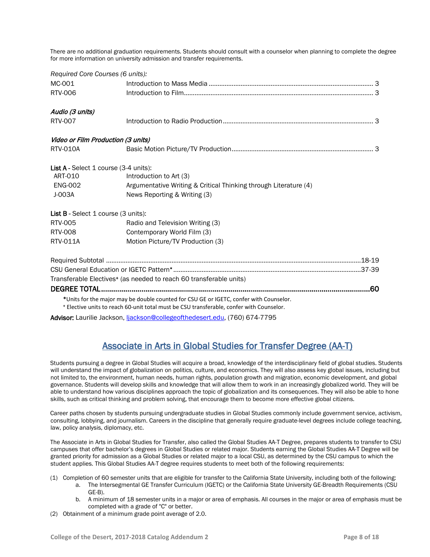There are no additional graduation requirements. Students should consult with a counselor when planning to complete the degree for more information on university admission and transfer requirements.

| Required Core Courses (6 units):      |                                                                                                                                                                                    |  |
|---------------------------------------|------------------------------------------------------------------------------------------------------------------------------------------------------------------------------------|--|
| MC-001                                |                                                                                                                                                                                    |  |
| RTV-006                               |                                                                                                                                                                                    |  |
| Audio (3 units)                       |                                                                                                                                                                                    |  |
| <b>RTV-007</b>                        |                                                                                                                                                                                    |  |
| Video or Film Production (3 units)    |                                                                                                                                                                                    |  |
| <b>RTV-010A</b>                       |                                                                                                                                                                                    |  |
| List A - Select 1 course (3-4 units): |                                                                                                                                                                                    |  |
| ART-010                               | Introduction to Art (3)                                                                                                                                                            |  |
| <b>ENG-002</b>                        | Argumentative Writing & Critical Thinking through Literature (4)                                                                                                                   |  |
| J-003A                                | News Reporting & Writing (3)                                                                                                                                                       |  |
| List B - Select 1 course (3 units):   |                                                                                                                                                                                    |  |
| RTV-005                               | Radio and Television Writing (3)                                                                                                                                                   |  |
| RTV-008                               | Contemporary World Film (3)                                                                                                                                                        |  |
| RTV-011A                              | Motion Picture/TV Production (3)                                                                                                                                                   |  |
|                                       |                                                                                                                                                                                    |  |
|                                       |                                                                                                                                                                                    |  |
|                                       | Transferable Electives <sup>+</sup> (as needed to reach 60 transferable units)                                                                                                     |  |
|                                       |                                                                                                                                                                                    |  |
|                                       | *Units for the major may be double counted for CSU GE or IGETC, confer with Counselor.<br>* Elective units to reach 60-unit total must be CSU transferable, confer with Counselor. |  |

Advisor: Laurilie Jackson, [ljackson@collegeofthedesert.edu,](mailto:ljackson@collegeofthedesert.edu) (760) 674-7795

# Associate in Arts in Global Studies for Transfer Degree (AA-T)

Students pursuing a degree in Global Studies will acquire a broad, knowledge of the interdisciplinary field of global studies. Students will understand the impact of globalization on politics, culture, and economics. They will also assess key global issues, including but not limited to, the environment, human needs, human rights, population growth and migration, economic development, and global governance. Students will develop skills and knowledge that will allow them to work in an increasingly globalized world. They will be able to understand how various disciplines approach the topic of globalization and its consequences. They will also be able to hone skills, such as critical thinking and problem solving, that encourage them to become more effective global citizens.

Career paths chosen by students pursuing undergraduate studies in Global Studies commonly include government service, activism, consulting, lobbying, and journalism. Careers in the discipline that generally require graduate-level degrees include college teaching, law, policy analysis, diplomacy, etc.

The Associate in Arts in Global Studies for Transfer, also called the Global Studies AA-T Degree, prepares students to transfer to CSU campuses that offer bachelor's degrees in Global Studies or related major. Students earning the Global Studies AA-T Degree will be granted priority for admission as a Global Studies or related major to a local CSU, as determined by the CSU campus to which the student applies. This Global Studies AA-T degree requires students to meet both of the following requirements:

- (1) Completion of 60 semester units that are eligible for transfer to the California State University, including both of the following:
	- a. The Intersegmental GE Transfer Curriculum (IGETC) or the California State University GE-Breadth Requirements (CSU GE-B).
	- b. A minimum of 18 semester units in a major or area of emphasis. All courses in the major or area of emphasis must be completed with a grade of "C" or better.
- (2) Obtainment of a minimum grade point average of 2.0.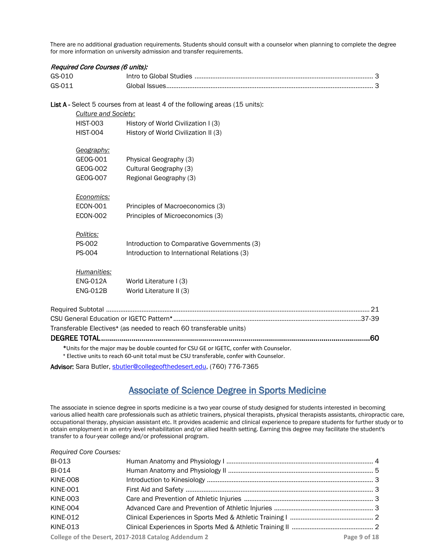There are no additional graduation requirements. Students should consult with a counselor when planning to complete the degree for more information on university admission and transfer requirements.

| Required Core Courses (6 units): |                             |                                                                                          |  |
|----------------------------------|-----------------------------|------------------------------------------------------------------------------------------|--|
| GS-010                           |                             |                                                                                          |  |
| GS-011                           |                             |                                                                                          |  |
|                                  |                             | List A - Select 5 courses from at least 4 of the following areas (15 units):             |  |
|                                  | <b>Culture and Society:</b> |                                                                                          |  |
|                                  | <b>HIST-003</b>             | History of World Civilization I (3)                                                      |  |
|                                  | <b>HIST-004</b>             | History of World Civilization II (3)                                                     |  |
|                                  | Geography:                  |                                                                                          |  |
|                                  | GE0G-001                    | Physical Geography (3)                                                                   |  |
|                                  | GEOG-002                    | Cultural Geography (3)                                                                   |  |
|                                  | GEOG-007                    | Regional Geography (3)                                                                   |  |
|                                  | Economics:                  |                                                                                          |  |
|                                  | <b>ECON-001</b>             | Principles of Macroeconomics (3)                                                         |  |
|                                  | <b>ECON-002</b>             | Principles of Microeconomics (3)                                                         |  |
| Politics:                        |                             |                                                                                          |  |
| PS-002                           |                             | Introduction to Comparative Governments (3)                                              |  |
| PS-004                           |                             | Introduction to International Relations (3)                                              |  |
|                                  | Humanities:                 |                                                                                          |  |
|                                  | <b>ENG-012A</b>             | World Literature I (3)                                                                   |  |
|                                  | <b>ENG-012B</b>             | World Literature II (3)                                                                  |  |
|                                  |                             |                                                                                          |  |
|                                  |                             |                                                                                          |  |
|                                  |                             | Transferable Electives <sup>+</sup> (as needed to reach 60 transferable units)           |  |
| DEGREE TOTAL                     |                             | .60                                                                                      |  |
|                                  |                             | *Units for the major may be double counted for CSU GE or IGETC, confer with Counselor.   |  |
|                                  |                             | + Elective units to reach 60-unit total must be CSU transferable, confer with Counselor. |  |

Advisor: Sara Butler, [sbutler@collegeofthedesert.edu,](mailto:sbutler@collegeofthedesert.edu) (760) 776-7365

# Associate of Science Degree in Sports Medicine

The associate in science degree in sports medicine is a two year course of study designed for students interested in becoming various allied health care professionals such as athletic trainers, physical therapists, physical therapists assistants, chiropractic care, occupational therapy, physician assistant etc. It provides academic and clinical experience to prepare students for further study or to obtain employment in an entry level rehabilitation and/or allied health setting. Earning this degree may facilitate the student's transfer to a four-year college and/or professional program.

| <b>Required Core Courses:</b> |
|-------------------------------|
|-------------------------------|

| <b>BI-013</b>   |                                                     |              |
|-----------------|-----------------------------------------------------|--------------|
| <b>BI-014</b>   |                                                     |              |
| <b>KINE-008</b> |                                                     |              |
| <b>KINE-001</b> |                                                     |              |
| KINE-003        |                                                     |              |
| KINE-004        |                                                     |              |
| <b>KINE-012</b> |                                                     |              |
| <b>KINE-013</b> |                                                     |              |
|                 | College of the Desert, 2017-2018 Catalog Addendum 2 | Page 9 of 18 |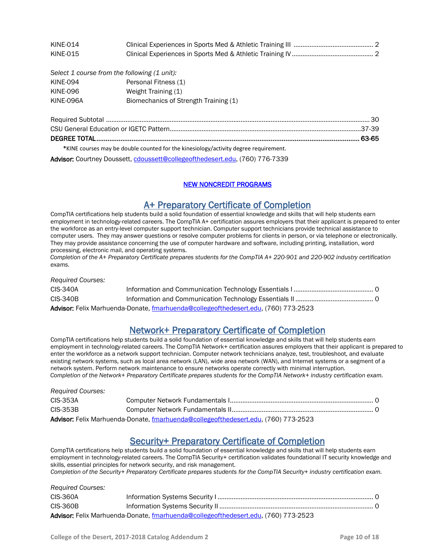| KINE-014 |  |
|----------|--|
| KINE-015 |  |

| Select 1 course from the following (1 unit): |                                       |  |
|----------------------------------------------|---------------------------------------|--|
| KINE-094                                     | Personal Fitness (1)                  |  |
| KINE-096                                     | Weight Training (1)                   |  |
| KINE-096A                                    | Biomechanics of Strength Training (1) |  |

| *KINE courses may be double counted for the kinesiology/activity degree requirement. |  |
|--------------------------------------------------------------------------------------|--|

Advisor: Courtney Doussett[, cdoussett@collegeofthedesert.edu,](mailto:cdoussett@collegeofthedesert.edu) (760) 776-7339

### NEW NONCREDIT PROGRAMS

A+ Preparatory Certificate of Completion<br>CompTIA certifications help students build a solid foundation of essential knowledge and skills that will help students earn employment in technology-related careers. The CompTIA A+ certification assures employers that their applicant is prepared to enter the workforce as an entry-level computer support technician. Computer support technicians provide technical assistance to computer users. They may answer questions or resolve computer problems for clients in person, or via telephone or electronically. They may provide assistance concerning the use of computer hardware and software, including printing, installation, word processing, electronic mail, and operating systems.

*Completion of the A+ Preparatory Certificate prepares students for the CompTIA A+ 220-901 and 220-902 industry certification exams.*

| <b>Required Courses:</b> |                                                                                    |  |
|--------------------------|------------------------------------------------------------------------------------|--|
| CIS-340A                 |                                                                                    |  |
| CIS-340B                 |                                                                                    |  |
|                          | Advisor: Felix Marhuenda-Donate, fmarhuenda@collegeofthedesert.edu, (760) 773-2523 |  |

**Network+ Preparatory Certificate of Completion**<br>CompTIA certifications help students build a solid foundation of essential knowledge and skills that will help students earn employment in technology-related careers. The CompTIA Network+ certification assures employers that their applicant is prepared to enter the workforce as a network support technician. Computer network technicians analyze, test, troubleshoot, and evaluate existing network systems, such as local area network (LAN), wide area network (WAN), and Internet systems or a segment of a network system. Perform network maintenance to ensure networks operate correctly with minimal interruption. *Completion of the Network+ Preparatory Certificate prepares students for the CompTIA Network+ industry certification exam.* 

| <b>Required Courses:</b> |                                                                                    |  |
|--------------------------|------------------------------------------------------------------------------------|--|
| CIS-353A                 |                                                                                    |  |
| CIS-353B                 |                                                                                    |  |
|                          | Advisor: Felix Marhuenda-Donate, fmarhuenda@collegeofthedesert.edu, (760) 773-2523 |  |

Security+ Preparatory Certificate of Completion CompTIA certifications help students build a solid foundation of essential knowledge and skills that will help students earn employment in technology-related careers. The CompTIA Security+ certification validates foundational IT security knowledge and skills, essential principles for network security, and risk management.

*Completion of the Security+ Preparatory Certificate prepares students for the CompTIA Security+ industry certification exam.* 

| <b>Required Courses:</b> |                                                                                    |  |
|--------------------------|------------------------------------------------------------------------------------|--|
| CIS-360A                 |                                                                                    |  |
| <b>CIS-360B</b>          |                                                                                    |  |
|                          | Advisor: Felix Marhuenda-Donate, fmarhuenda@collegeofthedesert.edu. (760) 773-2523 |  |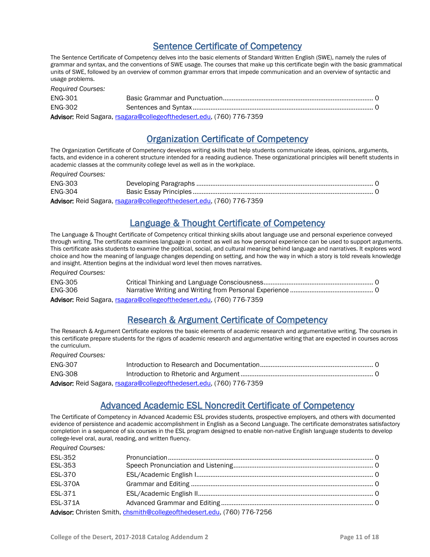# Sentence Certificate of Competency

The Sentence Certificate of Competency delves into the basic elements of Standard Written English (SWE), namely the rules of grammar and syntax, and the conventions of SWE usage. The courses that make up this certificate begin with the basic grammatical units of SWE, followed by an overview of common grammar errors that impede communication and an overview of syntactic and usage problems.

| <b>Required Courses:</b> |                                                                      |  |
|--------------------------|----------------------------------------------------------------------|--|
| ENG-301                  |                                                                      |  |
| ENG-302                  |                                                                      |  |
|                          | Advisor: Reid Sagara, rsagara@collegeofthedesert.edu, (760) 776-7359 |  |

## Organization Certificate of Competency

The Organization Certificate of Competency develops writing skills that help students communicate ideas, opinions, arguments, facts, and evidence in a coherent structure intended for a reading audience. These organizational principles will benefit students in academic classes at the community college level as well as in the workplace.

| <b>Required Courses:</b>                                             |  |  |
|----------------------------------------------------------------------|--|--|
| ENG-303                                                              |  |  |
| ENG-304                                                              |  |  |
| Advisor: Reid Sagara, rsagara@collegeofthedesert.edu, (760) 776-7359 |  |  |

Language & Thought Certificate of Competency

The Language & Thought Certificate of Competency critical thinking skills about language use and personal experience conveyed through writing. The certificate examines language in context as well as how personal experience can be used to support arguments. This certificate asks students to examine the political, social, and cultural meaning behind language and narratives. It explores word choice and how the meaning of language changes depending on setting, and how the way in which a story is told reveals knowledge and insight. Attention begins at the individual word level then moves narratives.

*Required Courses:* 

| <b>ENG-305</b> |                                                                      |  |
|----------------|----------------------------------------------------------------------|--|
| <b>ENG-306</b> |                                                                      |  |
|                | Advisor: Reid Sagara, rsagara@collegeofthedesert.edu, (760) 776-7359 |  |

# Research & Argument Certificate of Competency

The Research & Argument Certificate explores the basic elements of academic research and argumentative writing. The courses in this certificate prepare students for the rigors of academic research and argumentative writing that are expected in courses across the curriculum.

*Required Courses:* 

| <b>ENG-307</b> |                                                                      |  |
|----------------|----------------------------------------------------------------------|--|
| <b>ENG-308</b> |                                                                      |  |
|                | Advisor: Reid Sagara, rsagara@collegeofthedesert.edu, (760) 776-7359 |  |

# Advanced Academic ESL Noncredit Certificate of Competency

The Certificate of Competency in Advanced Academic ESL provides students, prospective employers, and others with documented evidence of persistence and academic accomplishment in English as a Second Language. The certificate demonstrates satisfactory completion in a sequence of six courses in the ESL program designed to enable non-native English language students to develop college-level oral, aural, reading, and written fluency.

*Required Courses:* 

| <b>ESL-352</b>                                                          |  |  |  |
|-------------------------------------------------------------------------|--|--|--|
| <b>ESL-353</b>                                                          |  |  |  |
| <b>ESL-370</b>                                                          |  |  |  |
| <b>ESL-370A</b>                                                         |  |  |  |
| ESL-371                                                                 |  |  |  |
| <b>ESL-371A</b>                                                         |  |  |  |
| Advisor: Christen Smith, chsmith@collegeofthedesert.edu, (760) 776-7256 |  |  |  |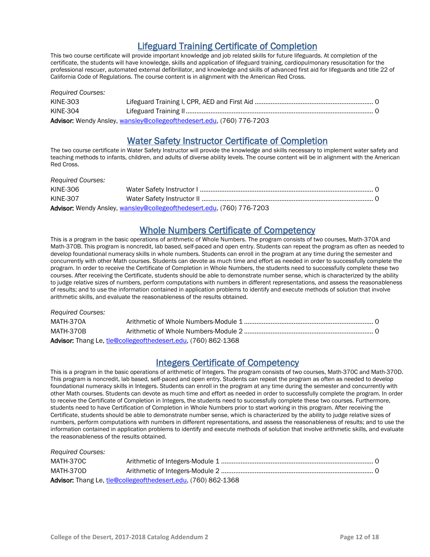Lifeguard Training Certificate of Completion<br>This two course certificate will provide important knowledge and job related skills for future lifeguards. At completion of the certificate, the students will have knowledge, skills and application of lifeguard training, cardiopulmonary resuscitation for the professional rescuer, automated external defibrillator, and knowledge and skills of advanced first aid for lifeguards and title 22 of California Code of Regulations. The course content is in alignment with the American Red Cross.

| <b>Required Courses:</b> |                                                                       |  |
|--------------------------|-----------------------------------------------------------------------|--|
| KINE-303                 |                                                                       |  |
| KINE-304                 |                                                                       |  |
|                          | Advisor: Wendy Ansley, wansley@collegeofthedesert.edu, (760) 776-7203 |  |

Water Safety Instructor Certificate of Completion<br>The two course certificate in Water Safety Instructor will provide the knowledge and skills necessary to implement water safety and teaching methods to infants, children, and adults of diverse ability levels. The course content will be in alignment with the American Red Cross.

| <b>Required Courses:</b> |                                                                       |  |
|--------------------------|-----------------------------------------------------------------------|--|
| KINE-306                 |                                                                       |  |
| <b>KINE-307</b>          |                                                                       |  |
|                          | Advisor: Wendy Ansley, wansley@collegeofthedesert.edu, (760) 776-7203 |  |

Whole Numbers Certificate of Competency<br>This is a program in the basic operations of arithmetic of Whole Numbers. The program consists of two courses, Math-370A and Math-370B. This program is noncredit, lab based, self-paced and open entry. Students can repeat the program as often as needed to develop foundational numeracy skills in whole numbers. Students can enroll in the program at any time during the semester and concurrently with other Math courses. Students can devote as much time and effort as needed in order to successfully complete the program. In order to receive the Certificate of Completion in Whole Numbers, the students need to successfully complete these two courses. After receiving the Certificate, students should be able to demonstrate number sense, which is characterized by the ability to judge relative sizes of numbers, perform computations with numbers in different representations, and assess the reasonableness of results; and to use the information contained in application problems to identify and execute methods of solution that involve arithmetic skills, and evaluate the reasonableness of the results obtained.

| <b>Required Courses:</b> |                                                               |  |
|--------------------------|---------------------------------------------------------------|--|
| MATH-370A                |                                                               |  |
| MATH-370B                |                                                               |  |
|                          | Advisor: Thang Le, tle@collegeofthedesert.edu, (760) 862-1368 |  |

Integers Certificate of Competency<br>This is a program in the basic operations of arithmetic of Integers. The program consists of two courses, Math-370C and Math-370D. This program is noncredit, lab based, self-paced and open entry. Students can repeat the program as often as needed to develop foundational numeracy skills in Integers. Students can enroll in the program at any time during the semester and concurrently with other Math courses. Students can devote as much time and effort as needed in order to successfully complete the program. In order to receive the Certificate of Completion in Integers, the students need to successfully complete these two courses. Furthermore, students need to have Certification of Completion in Whole Numbers prior to start working in this program. After receiving the Certificate, students should be able to demonstrate number sense, which is characterized by the ability to judge relative sizes of numbers, perform computations with numbers in different representations, and assess the reasonableness of results; and to use the information contained in application problems to identify and execute methods of solution that involve arithmetic skills, and evaluate the reasonableness of the results obtained.

| <b>Required Courses:</b> |                                                               |  |
|--------------------------|---------------------------------------------------------------|--|
| MATH-370C                |                                                               |  |
| MATH-370D                |                                                               |  |
|                          | Advisor: Thang Le, tle@collegeofthedesert.edu, (760) 862-1368 |  |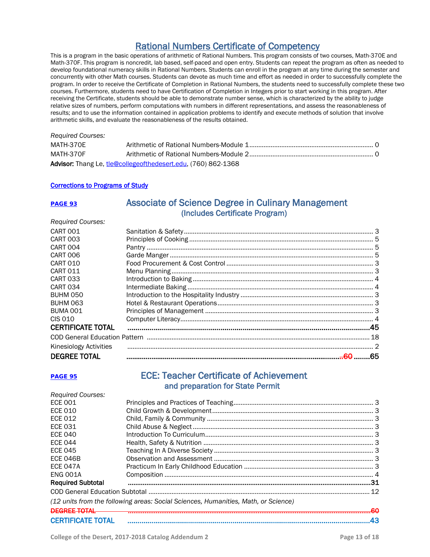Rational Numbers Certificate of Competency This is a program in the basic operations of arithmetic of Rational Numbers. This program consists of two courses, Math-370E and Math-370F. This program is noncredit, lab based, self-paced and open entry. Students can repeat the program as often as needed to develop foundational numeracy skills in Rational Numbers. Students can enroll in the program at any time during the semester and concurrently with other Math courses. Students can devote as much time and effort as needed in order to successfully complete the program. In order to receive the Certificate of Completion in Rational Numbers, the students need to successfully complete these two courses. Furthermore, students need to have Certification of Completion in Integers prior to start working in this program. After receiving the Certificate, students should be able to demonstrate number sense, which is characterized by the ability to judge relative sizes of numbers, perform computations with numbers in different representations, and assess the reasonableness of results; and to use the information contained in application problems to identify and execute methods of solution that involve arithmetic skills, and evaluate the reasonableness of the results obtained.

### *Required Courses:*  MATH-370E Arithmetic of Rational Numbers-Module 1...................................................................... 0 MATH-370F Arithmetic of Rational Numbers-Module 2...................................................................... 0 Advisor: Thang Le, [tle@collegeofthedesert.edu,](mailto:tle@collegeofthedesert.edu) (760) 862-1368

### Corrections to Programs of Study

*Required Courses:* 

### **PAGE 93** Associate of Science Degree in Culinary Management (Includes Certificate Program)

| CART 001                 |  |  |
|--------------------------|--|--|
| CART 003                 |  |  |
| CART 004                 |  |  |
| CART 006                 |  |  |
| CART 010                 |  |  |
| CART 011                 |  |  |
| CART 033                 |  |  |
| <b>CART 034</b>          |  |  |
| BUHM 050                 |  |  |
| BUHM 063                 |  |  |
| BUMA 001                 |  |  |
| CIS 010                  |  |  |
| <b>CERTIFICATE TOTAL</b> |  |  |
|                          |  |  |
| Kinesiology Activities   |  |  |
| <b>DEGREE TOTAL</b>      |  |  |
|                          |  |  |

### PAGE 95 ECE: Teacher Certificate of Achievement and preparation for State Permit

| <b>Required Courses:</b> |                                                                                    |  |
|--------------------------|------------------------------------------------------------------------------------|--|
| <b>ECE 001</b>           |                                                                                    |  |
| <b>ECE 010</b>           |                                                                                    |  |
| ECE 012                  |                                                                                    |  |
| <b>ECE 031</b>           |                                                                                    |  |
| <b>ECE 040</b>           |                                                                                    |  |
| <b>ECE 044</b>           |                                                                                    |  |
| <b>ECE 045</b>           |                                                                                    |  |
| <b>ECE 046B</b>          |                                                                                    |  |
| ECE 047A                 |                                                                                    |  |
| <b>ENG 001A</b>          |                                                                                    |  |
| <b>Required Subtotal</b> |                                                                                    |  |
|                          | 12                                                                                 |  |
|                          | (12 units from the following areas: Social Sciences, Humanities, Math, or Science) |  |
| NYAPERIA JI              | ഛ                                                                                  |  |
| <b>CERTIFICATE TOTAL</b> | 43                                                                                 |  |
|                          |                                                                                    |  |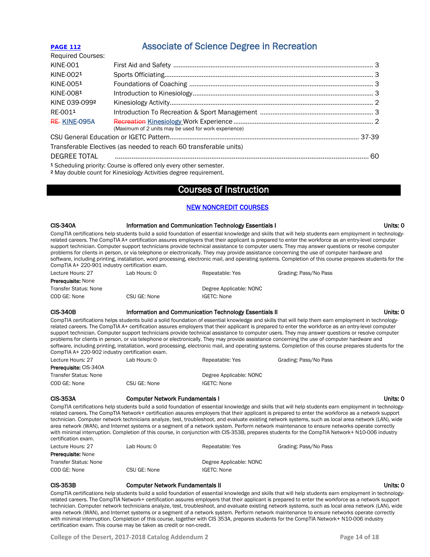# **PAGE 112** Associate of Science Degree in Recreation

| <b>Required Courses:</b> |                                                                                |  |
|--------------------------|--------------------------------------------------------------------------------|--|
| <b>KINE-001</b>          |                                                                                |  |
| KINE-0021                |                                                                                |  |
| KINE-0051                |                                                                                |  |
| KINE-0081                |                                                                                |  |
| KINE 039-0992            |                                                                                |  |
| RE-0011                  |                                                                                |  |
| RE-KINE-095A             | (Maximum of 2 units may be used for work experience)                           |  |
|                          |                                                                                |  |
|                          | Transferable Electives (as needed to reach 60 transferable units)              |  |
|                          |                                                                                |  |
|                          | <sup>1</sup> Scheduling priority: Course is offered only every other semester. |  |

<sup>2</sup> May double count for Kinesiology Activities degree requirement.

### Courses of Instruction

### NEW NONCREDIT COURSES

| <b>CIS-340A</b>                                 | Information and Communication Technology Essentials I  |                         | Units: 0                                                                                                                                                                                                                                                                                                                                                                                                                                                                                                                                                                                                                                                                                                                                                                  |
|-------------------------------------------------|--------------------------------------------------------|-------------------------|---------------------------------------------------------------------------------------------------------------------------------------------------------------------------------------------------------------------------------------------------------------------------------------------------------------------------------------------------------------------------------------------------------------------------------------------------------------------------------------------------------------------------------------------------------------------------------------------------------------------------------------------------------------------------------------------------------------------------------------------------------------------------|
| CompTIA A+ 220-901 industry certification exam. |                                                        |                         | CompTIA certifications help students build a solid foundation of essential knowledge and skills that will help students earn employment in technology-<br>related careers. The CompTIA A+ certification assures employers that their applicant is prepared to enter the workforce as an entry-level computer<br>support technician. Computer support technicians provide technical assistance to computer users. They may answer questions or resolve computer<br>problems for clients in person, or via telephone or electronically. They may provide assistance concerning the use of computer hardware and<br>software, including printing, installation, word processing, electronic mail, and operating systems. Completion of this course prepares students for the |
| Lecture Hours: 27                               | Lab Hours: 0                                           | Repeatable: Yes         | Grading: Pass/No Pass                                                                                                                                                                                                                                                                                                                                                                                                                                                                                                                                                                                                                                                                                                                                                     |
| Prerequisite: None                              |                                                        |                         |                                                                                                                                                                                                                                                                                                                                                                                                                                                                                                                                                                                                                                                                                                                                                                           |
| <b>Transfer Status: None</b>                    |                                                        | Degree Applicable: NONC |                                                                                                                                                                                                                                                                                                                                                                                                                                                                                                                                                                                                                                                                                                                                                                           |
| COD GE: None                                    | CSU GE: None                                           | <b>IGETC: None</b>      |                                                                                                                                                                                                                                                                                                                                                                                                                                                                                                                                                                                                                                                                                                                                                                           |
| <b>CIS-340B</b>                                 | Information and Communication Technology Essentials II |                         | Units: 0                                                                                                                                                                                                                                                                                                                                                                                                                                                                                                                                                                                                                                                                                                                                                                  |
| CompTIA A+ 220-902 industry certification exam. |                                                        |                         | CompTIA certifications helps students build a solid foundation of essential knowledge and skills that will help them earn employment in technology-<br>related careers. The CompTIA A+ certification assures employers that their applicant is prepared to enter the workforce as an entry-level computer<br>support technician. Computer support technicians provide technical assistance to computer users. They may answer questions or resolve computer<br>problems for clients in person, or via telephone or electronically. They may provide assistance concerning the use of computer hardware and<br>software, including printing, installation, word processing, electronic mail, and operating systems. Completion of this course prepares students for the    |
| Lecture Hours: 27                               | Lab Hours: 0                                           | Repeatable: Yes         | Grading: Pass/No Pass                                                                                                                                                                                                                                                                                                                                                                                                                                                                                                                                                                                                                                                                                                                                                     |
| Prerequisite: CIS-340A                          |                                                        |                         |                                                                                                                                                                                                                                                                                                                                                                                                                                                                                                                                                                                                                                                                                                                                                                           |
| <b>Transfer Status: None</b>                    |                                                        | Degree Applicable: NONC |                                                                                                                                                                                                                                                                                                                                                                                                                                                                                                                                                                                                                                                                                                                                                                           |
| COD GE: None                                    | CSU GE: None                                           | <b>IGETC: None</b>      |                                                                                                                                                                                                                                                                                                                                                                                                                                                                                                                                                                                                                                                                                                                                                                           |
| <b>CIS-353A</b>                                 | <b>Computer Network Fundamentals I</b>                 |                         | Units: 0                                                                                                                                                                                                                                                                                                                                                                                                                                                                                                                                                                                                                                                                                                                                                                  |
| certification exam.                             |                                                        |                         | CompTIA certifications help students build a solid foundation of essential knowledge and skills that will help students earn employment in technology-<br>related careers. The CompTIA Network+ certification assures employers that their applicant is prepared to enter the workforce as a network support<br>technician. Computer network technicians analyze, test, troubleshoot, and evaluate existing network systems, such as local area network (LAN), wide<br>area network (WAN), and Internet systems or a segment of a network system. Perform network maintenance to ensure networks operate correctly<br>with minimal interruption. Completion of this course, in conjunction with CIS-353B, prepares students for the CompTIA Network+ N10-006 industry     |
| Lecture Hours: 27                               | Lab Hours: 0                                           | Repeatable: Yes         | Grading: Pass/No Pass                                                                                                                                                                                                                                                                                                                                                                                                                                                                                                                                                                                                                                                                                                                                                     |
| Prerequisite: None                              |                                                        |                         |                                                                                                                                                                                                                                                                                                                                                                                                                                                                                                                                                                                                                                                                                                                                                                           |
| <b>Transfer Status: None</b>                    |                                                        | Degree Applicable: NONC |                                                                                                                                                                                                                                                                                                                                                                                                                                                                                                                                                                                                                                                                                                                                                                           |
| COD GE: None                                    | CSU GE: None                                           | <b>IGETC: None</b>      |                                                                                                                                                                                                                                                                                                                                                                                                                                                                                                                                                                                                                                                                                                                                                                           |
| <b>CIS-353B</b>                                 | <b>Computer Network Fundamentals II</b>                |                         | Units: 0                                                                                                                                                                                                                                                                                                                                                                                                                                                                                                                                                                                                                                                                                                                                                                  |
|                                                 |                                                        |                         | CompTIA certifications help students build a solid foundation of essential knowledge and skills that will help students earn employment in technology-                                                                                                                                                                                                                                                                                                                                                                                                                                                                                                                                                                                                                    |

related careers. The CompTIA Network+ certification assures employers that their applicant is prepared to enter the workforce as a network support technician. Computer network technicians analyze, test, troubleshoot, and evaluate existing network systems, such as local area network (LAN), wide area network (WAN), and Internet systems or a segment of a network system. Perform network maintenance to ensure networks operate correctly with minimal interruption. Completion of this course, together with CIS 353A, prepares students for the CompTIA Network+ N10-006 industry certification exam. This course may be taken as credit or non-credit.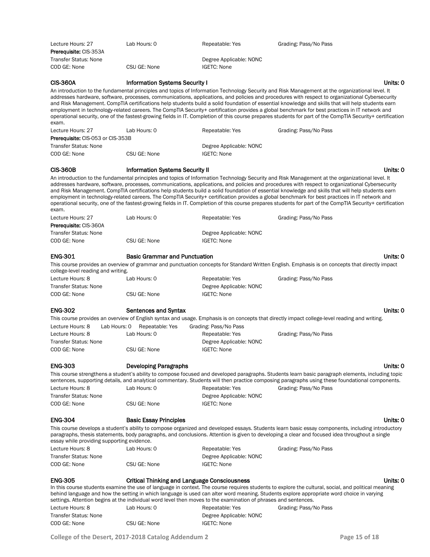| Lecture Hours: 27<br><b>Prerequisite: CIS-353A</b>            | Lab Hours: 0                                        | Repeatable: Yes                                                                                                                    | Grading: Pass/No Pass                                                                                                                                                                                                                                                                                                                                                                                                                                                                                                                                                                                                                                                                                                                                                               |
|---------------------------------------------------------------|-----------------------------------------------------|------------------------------------------------------------------------------------------------------------------------------------|-------------------------------------------------------------------------------------------------------------------------------------------------------------------------------------------------------------------------------------------------------------------------------------------------------------------------------------------------------------------------------------------------------------------------------------------------------------------------------------------------------------------------------------------------------------------------------------------------------------------------------------------------------------------------------------------------------------------------------------------------------------------------------------|
| <b>Transfer Status: None</b><br>COD GE: None                  | CSU GE: None                                        | Degree Applicable: NONC<br><b>IGETC: None</b>                                                                                      |                                                                                                                                                                                                                                                                                                                                                                                                                                                                                                                                                                                                                                                                                                                                                                                     |
| <b>CIS-360A</b><br>exam.                                      | <b>Information Systems Security I</b>               |                                                                                                                                    | Units: 0<br>An introduction to the fundamental principles and topics of Information Technology Security and Risk Management at the organizational level. It<br>addresses hardware, software, processes, communications, applications, and policies and procedures with respect to organizational Cybersecurity<br>and Risk Management. CompTIA certifications help students build a solid foundation of essential knowledge and skills that will help students earn<br>employment in technology-related careers. The CompTIA Security+ certification provides a global benchmark for best practices in IT network and<br>operational security, one of the fastest-growing fields in IT. Completion of this course prepares students for part of the CompTIA Security+ certification |
| Lecture Hours: 27<br><b>Prerequisite: CIS-053 or CIS-353B</b> | Lab Hours: 0                                        | Repeatable: Yes                                                                                                                    | Grading: Pass/No Pass                                                                                                                                                                                                                                                                                                                                                                                                                                                                                                                                                                                                                                                                                                                                                               |
| <b>Transfer Status: None</b>                                  |                                                     | Degree Applicable: NONC                                                                                                            |                                                                                                                                                                                                                                                                                                                                                                                                                                                                                                                                                                                                                                                                                                                                                                                     |
| COD GE: None                                                  | CSU GE: None                                        | <b>IGETC: None</b>                                                                                                                 |                                                                                                                                                                                                                                                                                                                                                                                                                                                                                                                                                                                                                                                                                                                                                                                     |
| <b>CIS-360B</b>                                               | <b>Information Systems Security II</b>              |                                                                                                                                    | Units: 0                                                                                                                                                                                                                                                                                                                                                                                                                                                                                                                                                                                                                                                                                                                                                                            |
| exam.                                                         |                                                     |                                                                                                                                    | An introduction to the fundamental principles and topics of Information Technology Security and Risk Management at the organizational level. It<br>addresses hardware, software, processes, communications, applications, and policies and procedures with respect to organizational Cybersecurity<br>and Risk Management. CompTIA certifications help students build a solid foundation of essential knowledge and skills that will help students earn<br>employment in technology-related careers. The CompTIA Security+ certification provides a global benchmark for best practices in IT network and<br>operational security, one of the fastest-growing fields in IT. Completion of this course prepares students for part of the CompTIA Security+ certification             |
| Lecture Hours: 27                                             | Lab Hours: 0                                        | Repeatable: Yes                                                                                                                    | Grading: Pass/No Pass                                                                                                                                                                                                                                                                                                                                                                                                                                                                                                                                                                                                                                                                                                                                                               |
| Prerequisite: CIS-360A                                        |                                                     |                                                                                                                                    |                                                                                                                                                                                                                                                                                                                                                                                                                                                                                                                                                                                                                                                                                                                                                                                     |
| <b>Transfer Status: None</b>                                  |                                                     | Degree Applicable: NONC                                                                                                            |                                                                                                                                                                                                                                                                                                                                                                                                                                                                                                                                                                                                                                                                                                                                                                                     |
| COD GE: None                                                  | CSU GE: None                                        | <b>IGETC: None</b>                                                                                                                 |                                                                                                                                                                                                                                                                                                                                                                                                                                                                                                                                                                                                                                                                                                                                                                                     |
| <b>ENG-301</b>                                                | <b>Basic Grammar and Punctuation</b>                |                                                                                                                                    | Units: 0                                                                                                                                                                                                                                                                                                                                                                                                                                                                                                                                                                                                                                                                                                                                                                            |
| college-level reading and writing.                            |                                                     |                                                                                                                                    | This course provides an overview of grammar and punctuation concepts for Standard Written English. Emphasis is on concepts that directly impact                                                                                                                                                                                                                                                                                                                                                                                                                                                                                                                                                                                                                                     |
| Lecture Hours: 8                                              | Lab Hours: 0                                        | Repeatable: Yes                                                                                                                    | Grading: Pass/No Pass                                                                                                                                                                                                                                                                                                                                                                                                                                                                                                                                                                                                                                                                                                                                                               |
| <b>Transfer Status: None</b>                                  |                                                     | Degree Applicable: NONC                                                                                                            |                                                                                                                                                                                                                                                                                                                                                                                                                                                                                                                                                                                                                                                                                                                                                                                     |
| COD GE: None                                                  | CSU GE: None                                        | <b>IGETC: None</b>                                                                                                                 |                                                                                                                                                                                                                                                                                                                                                                                                                                                                                                                                                                                                                                                                                                                                                                                     |
| <b>ENG-302</b>                                                | <b>Sentences and Syntax</b>                         |                                                                                                                                    | Units: 0                                                                                                                                                                                                                                                                                                                                                                                                                                                                                                                                                                                                                                                                                                                                                                            |
|                                                               |                                                     |                                                                                                                                    | This course provides an overview of English syntax and usage. Emphasis is on concepts that directly impact college-level reading and writing.                                                                                                                                                                                                                                                                                                                                                                                                                                                                                                                                                                                                                                       |
| Lecture Hours: 8<br>Lab Hours: 0                              | Repeatable: Yes                                     | Grading: Pass/No Pass                                                                                                              |                                                                                                                                                                                                                                                                                                                                                                                                                                                                                                                                                                                                                                                                                                                                                                                     |
| Lecture Hours: 8                                              | Lab Hours: 0                                        | Repeatable: Yes                                                                                                                    |                                                                                                                                                                                                                                                                                                                                                                                                                                                                                                                                                                                                                                                                                                                                                                                     |
|                                                               |                                                     |                                                                                                                                    | Grading: Pass/No Pass                                                                                                                                                                                                                                                                                                                                                                                                                                                                                                                                                                                                                                                                                                                                                               |
| <b>Transfer Status: None</b><br>COD GE: None                  | CSU GE: None                                        | Degree Applicable: NONC<br>IGETC: None                                                                                             |                                                                                                                                                                                                                                                                                                                                                                                                                                                                                                                                                                                                                                                                                                                                                                                     |
|                                                               |                                                     |                                                                                                                                    |                                                                                                                                                                                                                                                                                                                                                                                                                                                                                                                                                                                                                                                                                                                                                                                     |
| <b>ENG-303</b>                                                | <b>Developing Paragraphs</b>                        |                                                                                                                                    | Units: 0<br>This course strengthens a student's ability to compose focused and developed paragraphs. Students learn basic paragraph elements, including topic                                                                                                                                                                                                                                                                                                                                                                                                                                                                                                                                                                                                                       |
|                                                               |                                                     |                                                                                                                                    | sentences, supporting details, and analytical commentary. Students will then practice composing paragraphs using these foundational components.                                                                                                                                                                                                                                                                                                                                                                                                                                                                                                                                                                                                                                     |
| Lecture Hours: 8                                              | Lab Hours: 0                                        | Repeatable: Yes                                                                                                                    | Grading: Pass/No Pass                                                                                                                                                                                                                                                                                                                                                                                                                                                                                                                                                                                                                                                                                                                                                               |
| <b>Transfer Status: None</b><br>COD GE: None                  | CSU GE: None                                        | Degree Applicable: NONC<br><b>IGETC: None</b>                                                                                      |                                                                                                                                                                                                                                                                                                                                                                                                                                                                                                                                                                                                                                                                                                                                                                                     |
|                                                               |                                                     |                                                                                                                                    |                                                                                                                                                                                                                                                                                                                                                                                                                                                                                                                                                                                                                                                                                                                                                                                     |
| <b>ENG-304</b><br>essay while providing supporting evidence.  | <b>Basic Essay Principles</b>                       |                                                                                                                                    | Units: 0<br>This course develops a student's ability to compose organized and developed essays. Students learn basic essay components, including introductory<br>paragraphs, thesis statements, body paragraphs, and conclusions. Attention is given to developing a clear and focused idea throughout a single                                                                                                                                                                                                                                                                                                                                                                                                                                                                     |
| Lecture Hours: 8                                              | Lab Hours: 0                                        | Repeatable: Yes                                                                                                                    | Grading: Pass/No Pass                                                                                                                                                                                                                                                                                                                                                                                                                                                                                                                                                                                                                                                                                                                                                               |
| <b>Transfer Status: None</b>                                  |                                                     | Degree Applicable: NONC                                                                                                            |                                                                                                                                                                                                                                                                                                                                                                                                                                                                                                                                                                                                                                                                                                                                                                                     |
| COD GE: None                                                  | CSU GE: None                                        | <b>IGETC: None</b>                                                                                                                 |                                                                                                                                                                                                                                                                                                                                                                                                                                                                                                                                                                                                                                                                                                                                                                                     |
| <b>ENG-305</b>                                                | <b>Critical Thinking and Language Consciousness</b> |                                                                                                                                    | Units: 0<br>In this course students examine the use of language in context. The course requires students to explore the cultural, social, and political meaning<br>behind language and how the setting in which language is used can alter word meaning. Students explore appropriate word choice in varying                                                                                                                                                                                                                                                                                                                                                                                                                                                                        |
| Lecture Hours: 8                                              | Lab Hours: 0                                        | settings. Attention begins at the individual word level then moves to the examination of phrases and sentences.<br>Repeatable: Yes | Grading: Pass/No Pass                                                                                                                                                                                                                                                                                                                                                                                                                                                                                                                                                                                                                                                                                                                                                               |
| <b>Transfer Status: None</b>                                  |                                                     | Degree Applicable: NONC                                                                                                            |                                                                                                                                                                                                                                                                                                                                                                                                                                                                                                                                                                                                                                                                                                                                                                                     |
| COD GE: None                                                  | CSU GE: None                                        | <b>IGETC: None</b>                                                                                                                 |                                                                                                                                                                                                                                                                                                                                                                                                                                                                                                                                                                                                                                                                                                                                                                                     |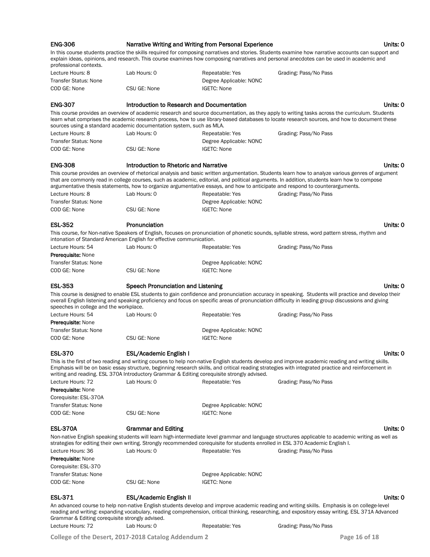|                                                       |                                                                                            | Narrative Writing and Writing from Personal Experience |                                                                                                                                                                                                                                                                                                                                                                                                                                   | Units: 0 |
|-------------------------------------------------------|--------------------------------------------------------------------------------------------|--------------------------------------------------------|-----------------------------------------------------------------------------------------------------------------------------------------------------------------------------------------------------------------------------------------------------------------------------------------------------------------------------------------------------------------------------------------------------------------------------------|----------|
| professional contexts.                                |                                                                                            |                                                        | In this course students practice the skills required for composing narratives and stories. Students examine how narrative accounts can support and<br>explain ideas, opinions, and research. This course examines how composing narratives and personal anecdotes can be used in academic and                                                                                                                                     |          |
| Lecture Hours: 8                                      | Lab Hours: 0                                                                               | Repeatable: Yes                                        | Grading: Pass/No Pass                                                                                                                                                                                                                                                                                                                                                                                                             |          |
| <b>Transfer Status: None</b>                          |                                                                                            | Degree Applicable: NONC                                |                                                                                                                                                                                                                                                                                                                                                                                                                                   |          |
| COD GE: None                                          | CSU GE: None                                                                               | <b>IGETC: None</b>                                     |                                                                                                                                                                                                                                                                                                                                                                                                                                   |          |
| <b>ENG-307</b>                                        | Introduction to Research and Documentation                                                 |                                                        |                                                                                                                                                                                                                                                                                                                                                                                                                                   | Units: 0 |
|                                                       | sources using a standard academic documentation system, such as MLA.                       |                                                        | This course provides an overview of academic research and source documentation, as they apply to writing tasks across the curriculum. Students<br>learn what comprises the academic research process, how to use library-based databases to locate research sources, and how to document these                                                                                                                                    |          |
| Lecture Hours: 8                                      | Lab Hours: 0                                                                               | Repeatable: Yes                                        | Grading: Pass/No Pass                                                                                                                                                                                                                                                                                                                                                                                                             |          |
| <b>Transfer Status: None</b>                          |                                                                                            | Degree Applicable: NONC                                |                                                                                                                                                                                                                                                                                                                                                                                                                                   |          |
| COD GE: None                                          | CSU GE: None                                                                               | <b>IGETC: None</b>                                     |                                                                                                                                                                                                                                                                                                                                                                                                                                   |          |
| <b>ENG-308</b>                                        | Introduction to Rhetoric and Narrative                                                     |                                                        |                                                                                                                                                                                                                                                                                                                                                                                                                                   | Units: 0 |
|                                                       |                                                                                            |                                                        | This course provides an overview of rhetorical analysis and basic written argumentation. Students learn how to analyze various genres of argument<br>that are commonly read in college courses, such as academic, editorial, and political arguments. In addition, students learn how to compose<br>argumentative thesis statements, how to organize argumentative essays, and how to anticipate and respond to counterarguments. |          |
| Lecture Hours: 8                                      | Lab Hours: 0                                                                               | Repeatable: Yes                                        | Grading: Pass/No Pass                                                                                                                                                                                                                                                                                                                                                                                                             |          |
| <b>Transfer Status: None</b><br>COD GE: None          | CSU GE: None                                                                               | Degree Applicable: NONC<br><b>IGETC: None</b>          |                                                                                                                                                                                                                                                                                                                                                                                                                                   |          |
|                                                       |                                                                                            |                                                        |                                                                                                                                                                                                                                                                                                                                                                                                                                   |          |
| <b>ESL-352</b>                                        | Pronunciation                                                                              |                                                        |                                                                                                                                                                                                                                                                                                                                                                                                                                   | Units: 0 |
|                                                       | intonation of Standard American English for effective communication.                       |                                                        | This course, for Non-native Speakers of English, focuses on pronunciation of phonetic sounds, syllable stress, word pattern stress, rhythm and                                                                                                                                                                                                                                                                                    |          |
| Lecture Hours: 54                                     | Lab Hours: 0                                                                               | Repeatable: Yes                                        | Grading: Pass/No Pass                                                                                                                                                                                                                                                                                                                                                                                                             |          |
| <b>Prerequisite: None</b>                             |                                                                                            |                                                        |                                                                                                                                                                                                                                                                                                                                                                                                                                   |          |
| <b>Transfer Status: None</b>                          |                                                                                            | Degree Applicable: NONC                                |                                                                                                                                                                                                                                                                                                                                                                                                                                   |          |
| COD GE: None                                          | CSU GE: None                                                                               | <b>IGETC: None</b>                                     |                                                                                                                                                                                                                                                                                                                                                                                                                                   |          |
| <b>ESL-353</b>                                        |                                                                                            |                                                        |                                                                                                                                                                                                                                                                                                                                                                                                                                   |          |
|                                                       | Speech Pronunciation and Listening                                                         |                                                        |                                                                                                                                                                                                                                                                                                                                                                                                                                   | Units: 0 |
| speeches in college and the workplace.                |                                                                                            |                                                        | This course is designed to enable ESL students to gain confidence and pronunciation accuracy in speaking. Students will practice and develop their<br>overall English listening and speaking proficiency and focus on specific areas of pronunciation difficulty in leading group discussions and giving                                                                                                                          |          |
| Lecture Hours: 54                                     | Lab Hours: 0                                                                               | Repeatable: Yes                                        | Grading: Pass/No Pass                                                                                                                                                                                                                                                                                                                                                                                                             |          |
|                                                       |                                                                                            |                                                        |                                                                                                                                                                                                                                                                                                                                                                                                                                   |          |
| <b>Prerequisite: None</b>                             |                                                                                            |                                                        |                                                                                                                                                                                                                                                                                                                                                                                                                                   |          |
| <b>Transfer Status: None</b>                          |                                                                                            | Degree Applicable: NONC                                |                                                                                                                                                                                                                                                                                                                                                                                                                                   |          |
| COD GE: None                                          | CSU GE: None                                                                               | <b>IGETC: None</b>                                     |                                                                                                                                                                                                                                                                                                                                                                                                                                   |          |
| <b>ESL-370</b>                                        | <b>ESL/Academic English I</b>                                                              |                                                        |                                                                                                                                                                                                                                                                                                                                                                                                                                   | Units: 0 |
|                                                       | writing and reading. ESL 370A Introductory Grammar & Editing corequisite strongly advised. |                                                        | This is the first of two reading and writing courses to help non-native English students develop and improve academic reading and writing skills.<br>Emphasis will be on basic essay structure, beginning research skills, and critical reading strategies with integrated practice and reinforcement in                                                                                                                          |          |
| Lecture Hours: 72                                     | Lab Hours: 0                                                                               | Repeatable: Yes                                        | Grading: Pass/No Pass                                                                                                                                                                                                                                                                                                                                                                                                             |          |
| Prerequisite: None                                    |                                                                                            |                                                        |                                                                                                                                                                                                                                                                                                                                                                                                                                   |          |
| Corequisite: ESL-370A<br><b>Transfer Status: None</b> |                                                                                            |                                                        |                                                                                                                                                                                                                                                                                                                                                                                                                                   |          |
| COD GE: None                                          | CSU GE: None                                                                               | Degree Applicable: NONC<br><b>IGETC: None</b>          |                                                                                                                                                                                                                                                                                                                                                                                                                                   |          |
| <b>ESL-370A</b>                                       | <b>Grammar and Editing</b>                                                                 |                                                        |                                                                                                                                                                                                                                                                                                                                                                                                                                   | Units: 0 |
|                                                       |                                                                                            |                                                        | Non-native English speaking students will learn high-intermediate level grammar and language structures applicable to academic writing as well as<br>strategies for editing their own writing. Strongly recommended corequisite for students enrolled in ESL 370 Academic English I.                                                                                                                                              |          |
| Lecture Hours: 36<br><b>Prerequisite: None</b>        | Lab Hours: 0                                                                               | Repeatable: Yes                                        | Grading: Pass/No Pass                                                                                                                                                                                                                                                                                                                                                                                                             |          |
| Corequisite: ESL-370                                  |                                                                                            |                                                        |                                                                                                                                                                                                                                                                                                                                                                                                                                   |          |
| <b>Transfer Status: None</b>                          |                                                                                            | Degree Applicable: NONC                                |                                                                                                                                                                                                                                                                                                                                                                                                                                   |          |
| COD GE: None                                          | CSU GE: None                                                                               | <b>IGETC: None</b>                                     |                                                                                                                                                                                                                                                                                                                                                                                                                                   |          |
| <b>ESL-371</b>                                        | <b>ESL/Academic English II</b>                                                             |                                                        |                                                                                                                                                                                                                                                                                                                                                                                                                                   | Units: 0 |

Lecture Hours: 72 Lab Hours: 0 Repeatable: Yes Grading: Pass/No Pass

**College of the Desert, 2017-2018 Catalog Addendum 2 Page 16 of 18**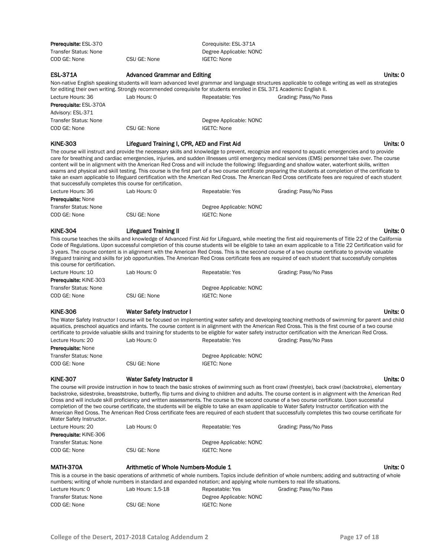| Prerequisite: ESL-370<br><b>Transfer Status: None</b><br>COD GE: None                            | CSU GE: None                                                                                                                                  | Corequisite: ESL-371A<br>Degree Applicable: NONC<br><b>IGETC: None</b> |                                                                                                                                                                                                                                                                                                                                                                                                                                                                                                                                                                                                                                                                                                                                                                                     |
|--------------------------------------------------------------------------------------------------|-----------------------------------------------------------------------------------------------------------------------------------------------|------------------------------------------------------------------------|-------------------------------------------------------------------------------------------------------------------------------------------------------------------------------------------------------------------------------------------------------------------------------------------------------------------------------------------------------------------------------------------------------------------------------------------------------------------------------------------------------------------------------------------------------------------------------------------------------------------------------------------------------------------------------------------------------------------------------------------------------------------------------------|
| <b>ESL-371A</b>                                                                                  | <b>Advanced Grammar and Editing</b>                                                                                                           |                                                                        | Units: 0                                                                                                                                                                                                                                                                                                                                                                                                                                                                                                                                                                                                                                                                                                                                                                            |
| Lecture Hours: 36<br>Prerequisite: ESL-370A<br>Advisory: ESL-371<br><b>Transfer Status: None</b> | for editing their own writing. Strongly recommended corequisite for students enrolled in ESL 371 Academic English II.<br>Lab Hours: 0         | Repeatable: Yes                                                        | Non-native English speaking students will learn advanced level grammar and language structures applicable to college writing as well as strategies<br>Grading: Pass/No Pass                                                                                                                                                                                                                                                                                                                                                                                                                                                                                                                                                                                                         |
| COD GE: None                                                                                     | CSU GE: None                                                                                                                                  | Degree Applicable: NONC<br><b>IGETC: None</b>                          |                                                                                                                                                                                                                                                                                                                                                                                                                                                                                                                                                                                                                                                                                                                                                                                     |
| <b>KINE-303</b>                                                                                  | Lifeguard Training I, CPR, AED and First Aid                                                                                                  |                                                                        | Units: 0                                                                                                                                                                                                                                                                                                                                                                                                                                                                                                                                                                                                                                                                                                                                                                            |
| that successfully completes this course for certification.                                       |                                                                                                                                               |                                                                        | The course will instruct and provide the necessary skills and knowledge to prevent, recognize and respond to aquatic emergencies and to provide<br>care for breathing and cardiac emergencies, injuries, and sudden illnesses until emergency medical services (EMS) personnel take over. The course<br>content will be in alignment with the American Red Cross and will include the following: lifeguarding and shallow water, waterfront skills, written<br>exams and physical and skill testing. This course is the first part of a two course certificate preparing the students at completion of the certificate to<br>take an exam applicable to lifeguard certification with the American Red Cross. The American Red Cross certificate fees are required of each student   |
| Lecture Hours: 36                                                                                | Lab Hours: 0                                                                                                                                  | Repeatable: Yes                                                        | Grading: Pass/No Pass                                                                                                                                                                                                                                                                                                                                                                                                                                                                                                                                                                                                                                                                                                                                                               |
| <b>Prerequisite: None</b><br><b>Transfer Status: None</b><br>COD GE: None                        | CSU GE: None                                                                                                                                  | Degree Applicable: NONC<br><b>IGETC: None</b>                          |                                                                                                                                                                                                                                                                                                                                                                                                                                                                                                                                                                                                                                                                                                                                                                                     |
| <b>KINE-304</b>                                                                                  | <b>Lifeguard Training II</b>                                                                                                                  |                                                                        | Units: 0                                                                                                                                                                                                                                                                                                                                                                                                                                                                                                                                                                                                                                                                                                                                                                            |
| this course for certification.                                                                   |                                                                                                                                               |                                                                        | This course teaches the skills and knowledge of Advanced First Aid for Lifeguard, while meeting the first aid requirements of Title 22 of the California<br>Code of Regulations. Upon successful completion of this course students will be eligible to take an exam applicable to a Title 22 Certification valid for<br>3 years. The course content is in alignment with the American Red Cross. This is the second course of a two course certificate to provide valuable<br>lifeguard training and skills for job opportunities. The American Red Cross certificate fees are required of each student that successfully completes                                                                                                                                                |
| Lecture Hours: 10                                                                                | Lab Hours: 0                                                                                                                                  | Repeatable: Yes                                                        | Grading: Pass/No Pass                                                                                                                                                                                                                                                                                                                                                                                                                                                                                                                                                                                                                                                                                                                                                               |
| Prerequisite: KINE-303<br><b>Transfer Status: None</b>                                           |                                                                                                                                               | Degree Applicable: NONC                                                |                                                                                                                                                                                                                                                                                                                                                                                                                                                                                                                                                                                                                                                                                                                                                                                     |
| COD GE: None                                                                                     | CSU GE: None                                                                                                                                  | <b>IGETC: None</b>                                                     |                                                                                                                                                                                                                                                                                                                                                                                                                                                                                                                                                                                                                                                                                                                                                                                     |
|                                                                                                  |                                                                                                                                               |                                                                        |                                                                                                                                                                                                                                                                                                                                                                                                                                                                                                                                                                                                                                                                                                                                                                                     |
| <b>KINE-306</b>                                                                                  | <b>Water Safety Instructor I</b>                                                                                                              |                                                                        | Units: 0                                                                                                                                                                                                                                                                                                                                                                                                                                                                                                                                                                                                                                                                                                                                                                            |
|                                                                                                  |                                                                                                                                               |                                                                        | The Water Safety Instructor I course will be focused on implementing water safety and developing teaching methods of swimming for parent and child<br>aquatics, preschool aquatics and infants. The course content is in alignment with the American Red Cross. This is the first course of a two course<br>certificate to provide valuable skills and training for students to be eligible for water safety instructor certification with the American Red Cross.                                                                                                                                                                                                                                                                                                                  |
| Lecture Hours: 20                                                                                | Lab Hours: 0                                                                                                                                  | Repeatable: Yes                                                        | Grading: Pass/No Pass                                                                                                                                                                                                                                                                                                                                                                                                                                                                                                                                                                                                                                                                                                                                                               |
| <b>Prerequisite: None</b><br><b>Transfer Status: None</b>                                        |                                                                                                                                               | Degree Applicable: NONC                                                |                                                                                                                                                                                                                                                                                                                                                                                                                                                                                                                                                                                                                                                                                                                                                                                     |
| COD GE: None                                                                                     | CSU GE: None                                                                                                                                  | <b>IGETC: None</b>                                                     |                                                                                                                                                                                                                                                                                                                                                                                                                                                                                                                                                                                                                                                                                                                                                                                     |
| <b>KINE-307</b>                                                                                  | <b>Water Safety Instructor II</b>                                                                                                             |                                                                        | Units: 0                                                                                                                                                                                                                                                                                                                                                                                                                                                                                                                                                                                                                                                                                                                                                                            |
| Water Safety Instructor.                                                                         |                                                                                                                                               |                                                                        | The course will provide instruction in how to teach the basic strokes of swimming such as front crawl (freestyle), back crawl (backstroke), elementary<br>backstroke, sidestroke, breaststroke, butterfly, flip turns and diving to children and adults. The course content is in alignment with the American Red<br>Cross and will include skill proficiency and written assessments. The course is the second course of a two course certificate. Upon successful<br>completion of the two course certificate, the students will be eligible to take an exam applicable to Water Safety Instructor certification with the<br>American Red Cross. The American Red Cross certificate fees are required of each student that successfully completes this two course certificate for |
| Lecture Hours: 20                                                                                | Lab Hours: 0                                                                                                                                  | Repeatable: Yes                                                        | Grading: Pass/No Pass                                                                                                                                                                                                                                                                                                                                                                                                                                                                                                                                                                                                                                                                                                                                                               |
| <b>Prerequisite: KINE-306</b>                                                                    |                                                                                                                                               |                                                                        |                                                                                                                                                                                                                                                                                                                                                                                                                                                                                                                                                                                                                                                                                                                                                                                     |
| <b>Transfer Status: None</b><br>COD GE: None                                                     | CSU GE: None                                                                                                                                  | Degree Applicable: NONC<br><b>IGETC: None</b>                          |                                                                                                                                                                                                                                                                                                                                                                                                                                                                                                                                                                                                                                                                                                                                                                                     |
| MATH-370A                                                                                        | Arithmetic of Whole Numbers-Module 1                                                                                                          |                                                                        | Units: 0                                                                                                                                                                                                                                                                                                                                                                                                                                                                                                                                                                                                                                                                                                                                                                            |
| Lecture Hours: 0                                                                                 | numbers; writing of whole numbers in standard and expanded notation; and applying whole numbers to real life situations.<br>Lab Hours: 1.5-18 | Repeatable: Yes                                                        | This is a course in the basic operations of arithmetic of whole numbers. Topics include definition of whole numbers; adding and subtracting of whole<br>Grading: Pass/No Pass                                                                                                                                                                                                                                                                                                                                                                                                                                                                                                                                                                                                       |
| <b>Transfer Status: None</b>                                                                     |                                                                                                                                               | Degree Applicable: NONC                                                |                                                                                                                                                                                                                                                                                                                                                                                                                                                                                                                                                                                                                                                                                                                                                                                     |
| COD GE: None                                                                                     | CSU GE: None                                                                                                                                  | <b>IGETC: None</b>                                                     |                                                                                                                                                                                                                                                                                                                                                                                                                                                                                                                                                                                                                                                                                                                                                                                     |